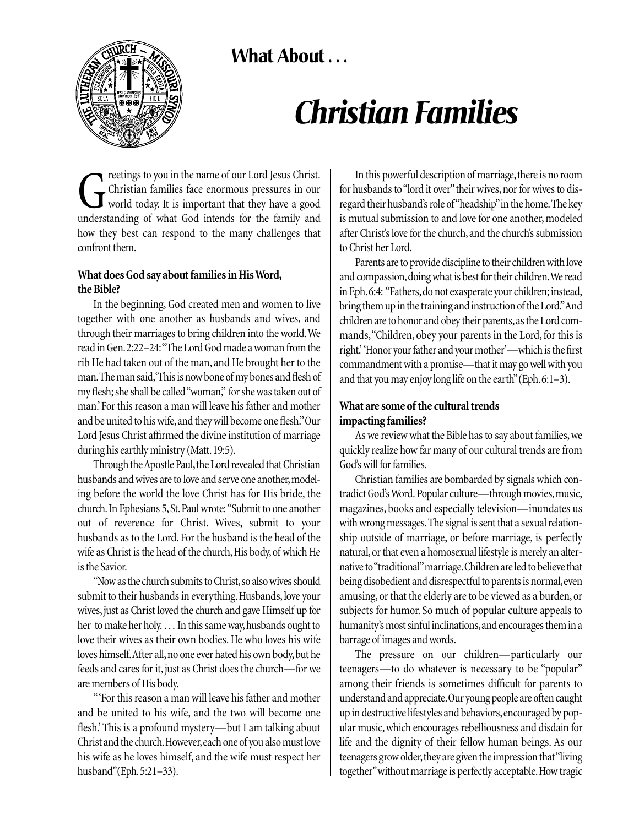**What About . . .** 



# *Christian Families*

**CALC** reetings to you in the name of our Lord Jesus Christ.<br>Contribution of what find that they have a good understanding of what God intends for the family and Christian families face enormous pressures in our world today. It is important that they have a good understanding of what God intends for the family and how they best can respond to the many challenges that confront them.

# **What does God say about families in His Word, the Bible?**

In the beginning, God created men and women to live together with one another as husbands and wives, and through their marriages to bring children into the world.We read in Gen.2:22–24:"The Lord God made a woman from the rib He had taken out of the man, and He brought her to the man.The man said,'This is now bone of my bones and flesh of my flesh; she shall be called "woman," for she was taken out of man.' For this reason a man will leave his father and mother and be united to his wife,and they will become one flesh."Our Lord Jesus Christ affirmed the divine institution of marriage during his earthly ministry (Matt.19:5).

Through the Apostle Paul, the Lord revealed that Christian husbands and wives are to love and serve one another, modeling before the world the love Christ has for His bride, the church.In Ephesians 5,St.Paul wrote: "Submit to one another out of reverence for Christ. Wives, submit to your husbands as to the Lord. For the husband is the head of the wife as Christ is the head of the church, His body, of which He is the Savior.

"Now as the church submits to Christ,so also wives should submit to their husbands in everything. Husbands, love your wives,just as Christ loved the church and gave Himself up for her to make her holy. ... In this same way, husbands ought to love their wives as their own bodies. He who loves his wife loves himself. After all, no one ever hated his own body, but he feeds and cares for it, just as Christ does the church—for we are members of His body.

" 'For this reason a man will leave his father and mother and be united to his wife, and the two will become one flesh.' This is a profound mystery—but I am talking about Christ and the church.However,each one of you also must love his wife as he loves himself, and the wife must respect her husband"(Eph.5:21–33).

In this powerful description of marriage, there is no room for husbands to "lord it over" their wives, nor for wives to disregard their husband's role of"headship"in the home.The key is mutual submission to and love for one another, modeled after Christ's love for the church,and the church's submission to Christ her Lord.

Parents are to provide discipline to their children with love and compassion,doing what is best for their children.We read in Eph.6:4: "Fathers,do not exasperate your children; instead, bring them up in the training and instruction of the Lord."And children are to honor and obey their parents, as the Lord commands,"Children, obey your parents in the Lord, for this is right.' 'Honor your father and your mother'—which is the first commandment with a promise—that it may go well with you and that you may enjoy long life on the earth"(Eph.6:1–3).

## **What are some of the cultural trends impacting families?**

As we review what the Bible has to say about families,we quickly realize how far many of our cultural trends are from God's will for families.

Christian families are bombarded by signals which contradict God's Word. Popular culture—through movies, music, magazines, books and especially television—inundates us with wrong messages.The signal is sent that a sexual relationship outside of marriage, or before marriage, is perfectly natural,or that even a homosexual lifestyle is merely an alternative to "traditional"marriage.Children are led to believe that being disobedient and disrespectful to parents is normal,even amusing, or that the elderly are to be viewed as a burden, or subjects for humor. So much of popular culture appeals to humanity's most sinful inclinations,and encourages them in a barrage of images and words.

The pressure on our children—particularly our teenagers—to do whatever is necessary to be "popular" among their friends is sometimes difficult for parents to understand and appreciate.Our young people are often caught up in destructive lifestyles and behaviors,encouraged by popular music, which encourages rebelliousness and disdain for life and the dignity of their fellow human beings. As our teenagers grow older, they are given the impression that "living together"without marriage is perfectly acceptable.How tragic